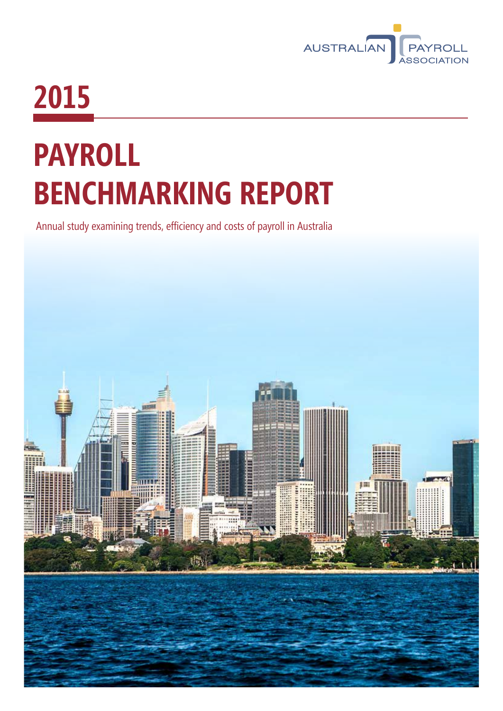

## **2015**

# **PAYROLL BENCHMARKING REPORT**

Annual study examining trends, efficiency and costs of payroll in Australia

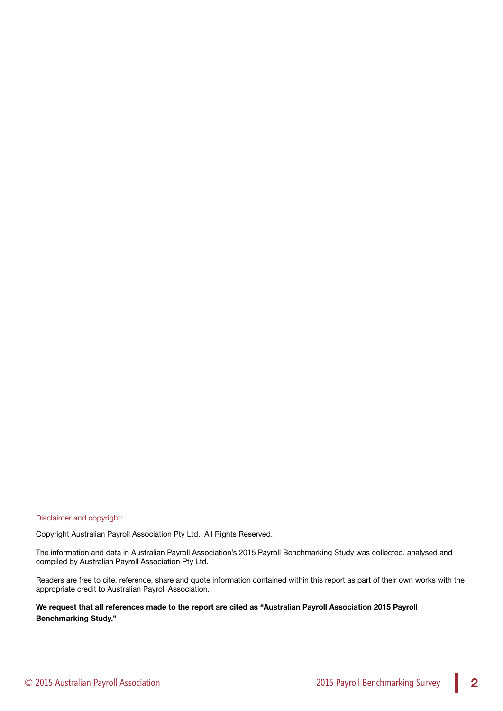Disclaimer and copyright:

Copyright Australian Payroll Association Pty Ltd. All Rights Reserved.

The information and data in Australian Payroll Association's 2015 Payroll Benchmarking Study was collected, analysed and compiled by Australian Payroll Association Pty Ltd.

Readers are free to cite, reference, share and quote information contained within this report as part of their own works with the appropriate credit to Australian Payroll Association.

**We request that all references made to the report are cited as "Australian Payroll Association 2015 Payroll Benchmarking Study."**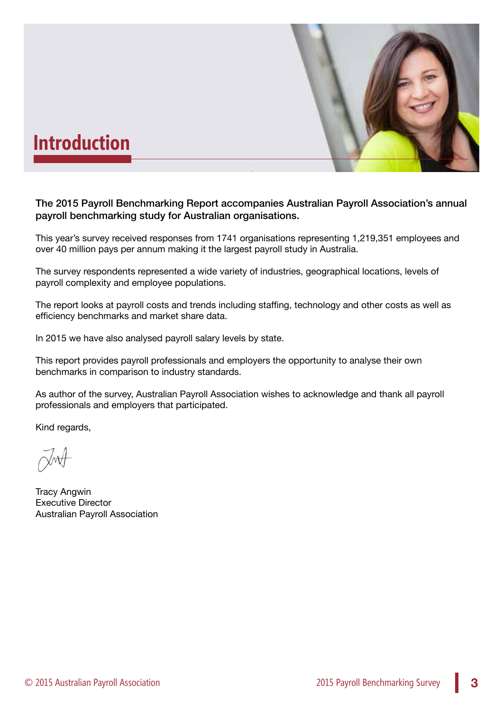

### **Introduction**

The 2015 Payroll Benchmarking Report accompanies Australian Payroll Association's annual payroll benchmarking study for Australian organisations.

This year's survey received responses from 1741 organisations representing 1,219,351 employees and over 40 million pays per annum making it the largest payroll study in Australia.

The survey respondents represented a wide variety of industries, geographical locations, levels of payroll complexity and employee populations.

The report looks at payroll costs and trends including staffing, technology and other costs as well as efficiency benchmarks and market share data.

In 2015 we have also analysed payroll salary levels by state.

This report provides payroll professionals and employers the opportunity to analyse their own benchmarks in comparison to industry standards.

As author of the survey, Australian Payroll Association wishes to acknowledge and thank all payroll professionals and employers that participated.

Kind regards,

Tracy Angwin Executive Director Australian Payroll Association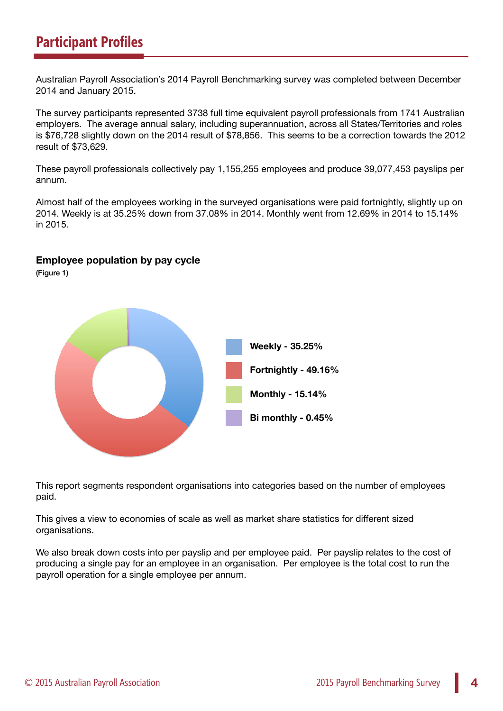### **Participant Profiles**

Australian Payroll Association's 2014 Payroll Benchmarking survey was completed between December 2014 and January 2015.

The survey participants represented 3738 full time equivalent payroll professionals from 1741 Australian employers. The average annual salary, including superannuation, across all States/Territories and roles is \$76,728 slightly down on the 2014 result of \$78,856. This seems to be a correction towards the 2012 result of \$73,629.

These payroll professionals collectively pay 1,155,255 employees and produce 39,077,453 payslips per annum.

Almost half of the employees working in the surveyed organisations were paid fortnightly, slightly up on 2014. Weekly is at 35.25% down from 37.08% in 2014. Monthly went from 12.69% in 2014 to 15.14% in 2015.

### **Employee population by pay cycle**

(Figure 1)



This report segments respondent organisations into categories based on the number of employees paid.

This gives a view to economies of scale as well as market share statistics for different sized organisations.

We also break down costs into per payslip and per employee paid. Per payslip relates to the cost of producing a single pay for an employee in an organisation. Per employee is the total cost to run the payroll operation for a single employee per annum.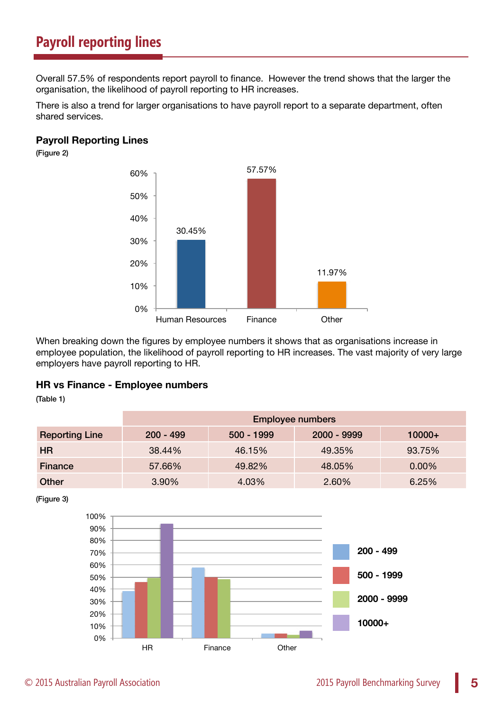### **Payroll reporting lines**

Overall 57.5% of respondents report payroll to finance. However the trend shows that the larger the organisation, the likelihood of payroll reporting to HR increases.

There is also a trend for larger organisations to have payroll report to a separate department, often shared services.

### **Payroll Reporting Lines**

(Figure 2)



When breaking down the figures by employee numbers it shows that as organisations increase in employee population, the likelihood of payroll reporting to HR increases. The vast majority of very large employers have payroll reporting to HR.

#### **HR vs Finance - Employee numbers**

(Table 1)

|                       | <b>Employee numbers</b> |              |             |          |
|-----------------------|-------------------------|--------------|-------------|----------|
| <b>Reporting Line</b> | $200 - 499$             | $500 - 1999$ | 2000 - 9999 | $10000+$ |
| HR.                   | 38.44%                  | 46.15%       | 49.35%      | 93.75%   |
| Finance               | 57.66%                  | 49.82%       | 48.05%      | 0.00%    |
| Other                 | 3.90%                   | 4.03%        | 2.60%       | 6.25%    |

(Figure 3)

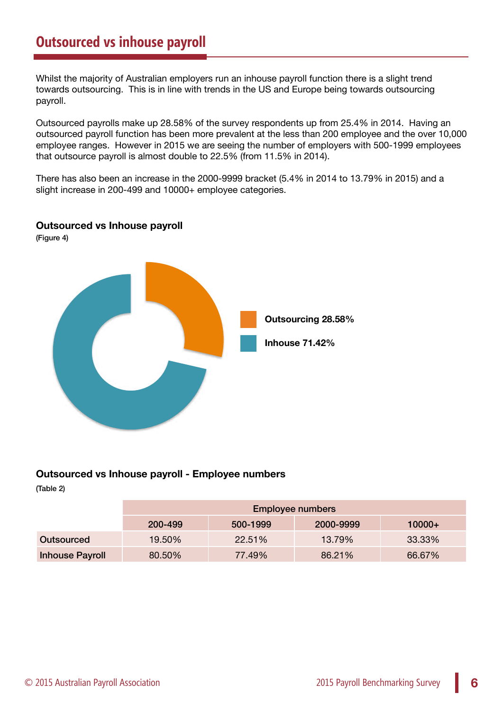Whilst the majority of Australian employers run an inhouse payroll function there is a slight trend towards outsourcing. This is in line with trends in the US and Europe being towards outsourcing payroll.

Outsourced payrolls make up 28.58% of the survey respondents up from 25.4% in 2014. Having an outsourced payroll function has been more prevalent at the less than 200 employee and the over 10,000 employee ranges. However in 2015 we are seeing the number of employers with 500-1999 employees that outsource payroll is almost double to 22.5% (from 11.5% in 2014).

There has also been an increase in the 2000-9999 bracket (5.4% in 2014 to 13.79% in 2015) and a slight increase in 200-499 and 10000+ employee categories.



#### **Outsourced vs Inhouse payroll**

(Figure 4)

### **Outsourced vs Inhouse payroll - Employee numbers**

(Table 2)

|                        | <b>Employee numbers</b> |          |           |          |
|------------------------|-------------------------|----------|-----------|----------|
|                        | 200-499                 | 500-1999 | 2000-9999 | $10000+$ |
| Outsourced             | 19.50%                  | 22.51%   | 13.79%    | 33.33%   |
| <b>Inhouse Payroll</b> | 80.50%                  | 77.49%   | 86.21%    | 66.67%   |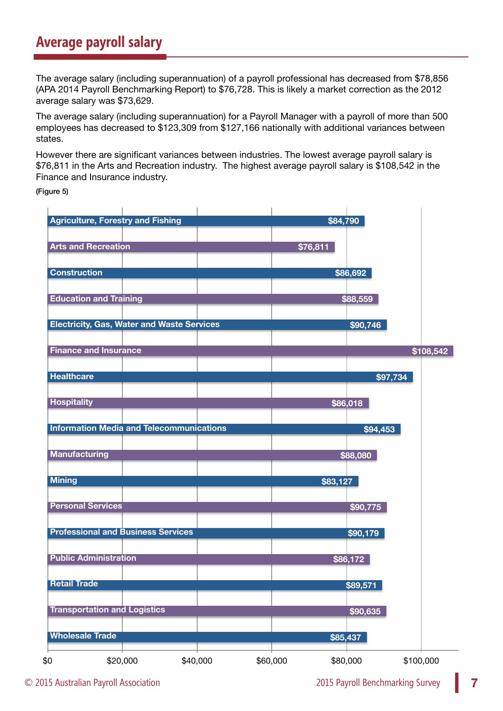### **Average payroll salary**

The average salary (including superannuation) of a payroll professional has decreased from \$78,856 (APA 2014 Payroll Benchmarking Report) to \$76,728. This is likely a market correction as the 2012 average salary was \$73,629.

The average salary (including superannuation) for a Payroll Manager with a payroll of more than 500 employees has decreased to \$123,309 from \$127,166 nationally with additional variances between states.

However there are significant variances between industries. The lowest average payroll salary is \$76,811 in the Arts and Recreation industry. The highest average payroll salary is \$108,542 in the Finance and Insurance industry.

(Figure 5)

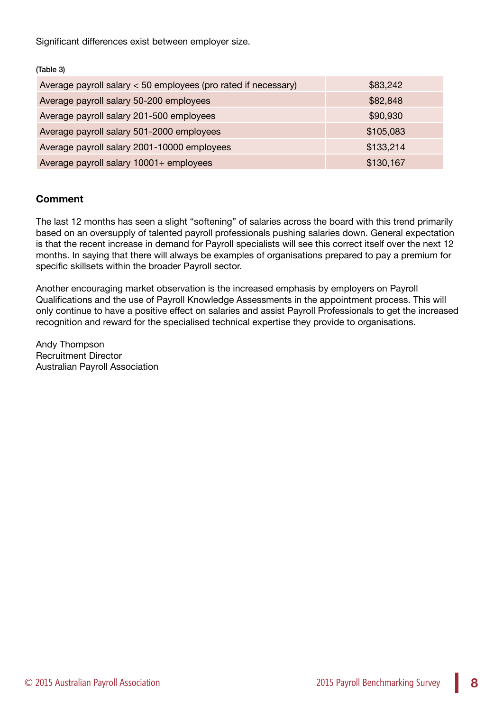Significant differences exist between employer size.

(Table 3)

| Average payroll salary < 50 employees (pro rated if necessary) | \$83,242  |
|----------------------------------------------------------------|-----------|
| Average payroll salary 50-200 employees                        | \$82,848  |
| Average payroll salary 201-500 employees                       | \$90,930  |
| Average payroll salary 501-2000 employees                      | \$105,083 |
| Average payroll salary 2001-10000 employees                    | \$133,214 |
| Average payroll salary 10001+ employees                        | \$130,167 |

### **Comment**

The last 12 months has seen a slight "softening" of salaries across the board with this trend primarily based on an oversupply of talented payroll professionals pushing salaries down. General expectation is that the recent increase in demand for Payroll specialists will see this correct itself over the next 12 months. In saying that there will always be examples of organisations prepared to pay a premium for specific skillsets within the broader Payroll sector.

Another encouraging market observation is the increased emphasis by employers on Payroll Qualifications and the use of Payroll Knowledge Assessments in the appointment process. This will only continue to have a positive effect on salaries and assist Payroll Professionals to get the increased recognition and reward for the specialised technical expertise they provide to organisations.

Andy Thompson Recruitment Director Australian Payroll Association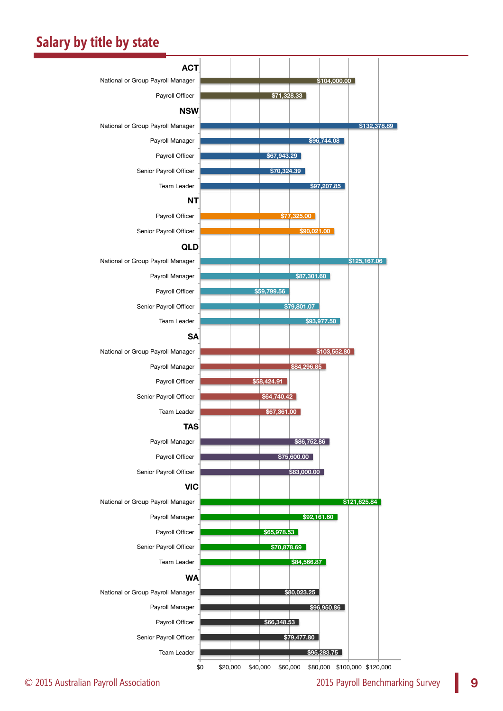### **Salary by title by state**

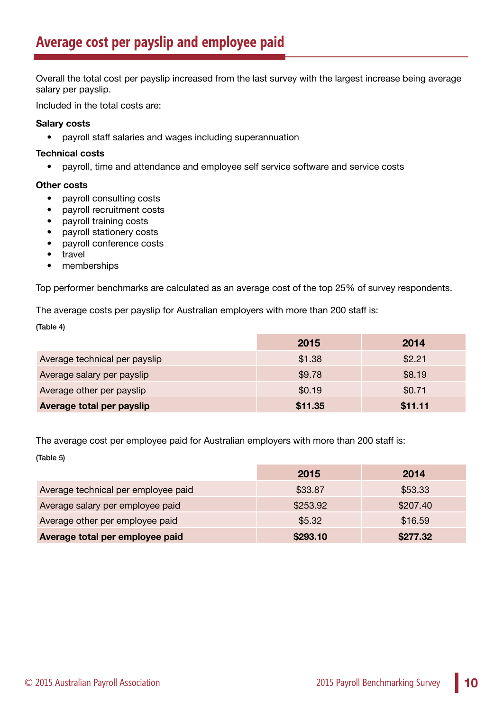Overall the total cost per payslip increased from the last survey with the largest increase being average salary per payslip.

Included in the total costs are:

### **Salary costs**

• payroll staff salaries and wages including superannuation

### **Technical costs**

• payroll, time and attendance and employee self service software and service costs

### **Other costs**

- payroll consulting costs
- payroll recruitment costs
- payroll training costs
- payroll stationery costs
- payroll conference costs
- travel
- memberships

Top performer benchmarks are calculated as an average cost of the top 25% of survey respondents.

The average costs per payslip for Australian employers with more than 200 staff is:

#### (Table 4)

|                               | 2015    | 2014    |
|-------------------------------|---------|---------|
| Average technical per payslip | \$1.38  | \$2.21  |
| Average salary per payslip    | \$9.78  | \$8.19  |
| Average other per payslip     | \$0.19  | \$0.71  |
| Average total per payslip     | \$11.35 | \$11.11 |

The average cost per employee paid for Australian employers with more than 200 staff is: (Table 5)

|                                     | 2015     | 2014     |
|-------------------------------------|----------|----------|
| Average technical per employee paid | \$33.87  | \$53.33  |
| Average salary per employee paid    | \$253.92 | \$207.40 |
| Average other per employee paid     | \$5.32   | \$16.59  |
| Average total per employee paid     | \$293.10 | \$277.32 |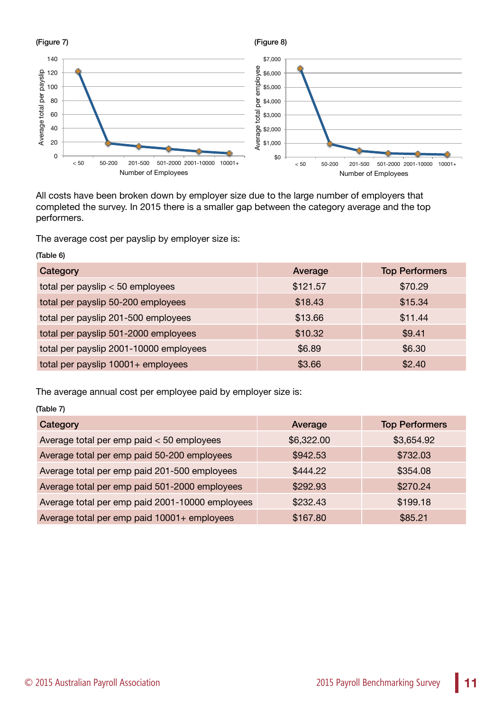

All costs have been broken down by employer size due to the large number of employers that completed the survey. In 2015 there is a smaller gap between the category average and the top performers.

The average cost per payslip by employer size is:

| (Table 6)                              |          |                       |  |
|----------------------------------------|----------|-----------------------|--|
| Category                               | Average  | <b>Top Performers</b> |  |
| total per payslip $< 50$ employees     | \$121.57 | \$70.29               |  |
| total per payslip 50-200 employees     | \$18.43  | \$15.34               |  |
| total per payslip 201-500 employees    | \$13.66  | \$11.44               |  |
| total per payslip 501-2000 employees   | \$10.32  | \$9.41                |  |
| total per payslip 2001-10000 employees | \$6.89   | \$6.30                |  |
| total per payslip 10001+ employees     | \$3.66   | \$2.40                |  |

The average annual cost per employee paid by employer size is:

| (Table 7)                                       |            |                       |  |
|-------------------------------------------------|------------|-----------------------|--|
| Category                                        | Average    | <b>Top Performers</b> |  |
| Average total per emp paid $<$ 50 employees     | \$6,322.00 | \$3,654.92            |  |
| Average total per emp paid 50-200 employees     | \$942.53   | \$732.03              |  |
| Average total per emp paid 201-500 employees    | \$444.22   | \$354.08              |  |
| Average total per emp paid 501-2000 employees   | \$292.93   | \$270.24              |  |
| Average total per emp paid 2001-10000 employees | \$232.43   | \$199.18              |  |
| Average total per emp paid 10001+ employees     | \$167.80   | \$85.21               |  |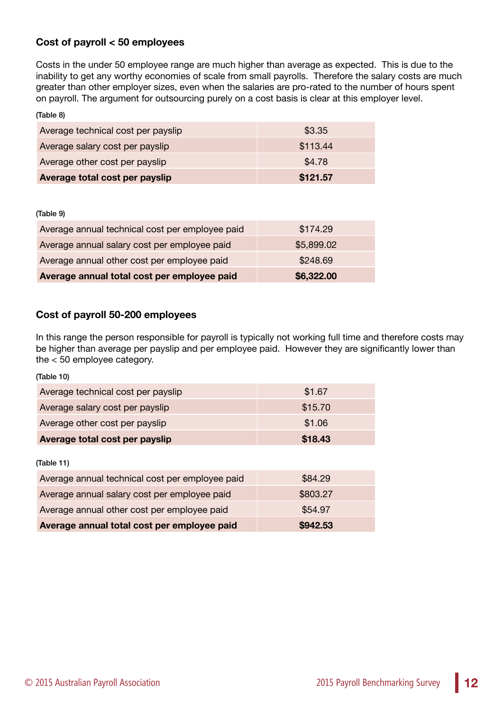### **Cost of payroll < 50 employees**

Costs in the under 50 employee range are much higher than average as expected. This is due to the inability to get any worthy economies of scale from small payrolls. Therefore the salary costs are much greater than other employer sizes, even when the salaries are pro-rated to the number of hours spent on payroll. The argument for outsourcing purely on a cost basis is clear at this employer level.

| (Table 8)                          |          |
|------------------------------------|----------|
| Average technical cost per payslip | \$3.35   |
| Average salary cost per payslip    | \$113.44 |
| Average other cost per payslip     | \$4.78   |
| Average total cost per payslip     | \$121.57 |

#### (Table 9)

| Average annual technical cost per employee paid | \$174.29   |
|-------------------------------------------------|------------|
| Average annual salary cost per employee paid    | \$5,899.02 |
| Average annual other cost per employee paid     | \$248.69   |
| Average annual total cost per employee paid     | \$6,322.00 |

### **Cost of payroll 50-200 employees**

In this range the person responsible for payroll is typically not working full time and therefore costs may be higher than average per payslip and per employee paid. However they are significantly lower than the < 50 employee category.

| (Table 10)                                      |          |  |  |
|-------------------------------------------------|----------|--|--|
| Average technical cost per payslip              | \$1.67   |  |  |
| Average salary cost per payslip                 | \$15.70  |  |  |
| Average other cost per payslip                  | \$1.06   |  |  |
| Average total cost per payslip                  | \$18.43  |  |  |
| (Table 11)                                      |          |  |  |
| Average annual technical cost per employee paid | \$84.29  |  |  |
| Average annual salary cost per employee paid    | \$803.27 |  |  |
| Average annual other cost per employee paid     | \$54.97  |  |  |
| Average annual total cost per employee paid     | \$942.53 |  |  |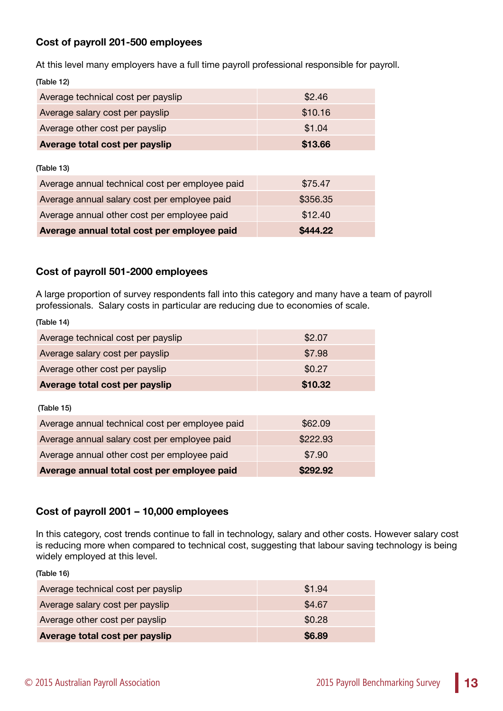### **Cost of payroll 201-500 employees**

At this level many employers have a full time payroll professional responsible for payroll. (Table 12)

| Average technical cost per payslip              | \$2.46   |  |
|-------------------------------------------------|----------|--|
| Average salary cost per payslip                 | \$10.16  |  |
| Average other cost per payslip                  | \$1.04   |  |
| Average total cost per payslip                  | \$13.66  |  |
|                                                 |          |  |
| (Table 13)                                      |          |  |
| Average annual technical cost per employee paid | \$75.47  |  |
| Average annual salary cost per employee paid    | \$356.35 |  |
| Average annual other cost per employee paid     | \$12.40  |  |
| Average annual total cost per employee paid     | \$444.22 |  |

### **Cost of payroll 501-2000 employees**

A large proportion of survey respondents fall into this category and many have a team of payroll professionals. Salary costs in particular are reducing due to economies of scale.

| Average technical cost per payslip              | \$2.07   |  |  |
|-------------------------------------------------|----------|--|--|
| Average salary cost per payslip                 | \$7.98   |  |  |
| Average other cost per payslip                  | \$0.27   |  |  |
| Average total cost per payslip                  | \$10.32  |  |  |
|                                                 |          |  |  |
| (Table 15)                                      |          |  |  |
| Average annual technical cost per employee paid | \$62.09  |  |  |
| Average annual salary cost per employee paid    | \$222.93 |  |  |
| Average annual other cost per employee paid     | \$7.90   |  |  |
| Average annual total cost per employee paid     | \$292.92 |  |  |

### **Cost of payroll 2001 – 10,000 employees**

In this category, cost trends continue to fall in technology, salary and other costs. However salary cost is reducing more when compared to technical cost, suggesting that labour saving technology is being widely employed at this level.

(Table 16)

(Table 14)

| Average technical cost per payslip | \$1.94 |
|------------------------------------|--------|
| Average salary cost per payslip    | \$4.67 |
| Average other cost per payslip     | \$0.28 |
| Average total cost per payslip     | \$6.89 |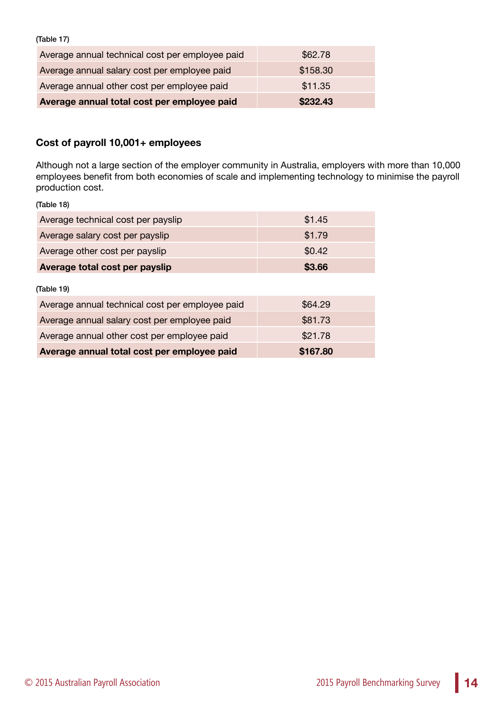(Table 17)

| Average annual technical cost per employee paid | \$62.78  |
|-------------------------------------------------|----------|
| Average annual salary cost per employee paid    | \$158.30 |
| Average annual other cost per employee paid     | \$11.35  |
| Average annual total cost per employee paid     | \$232.43 |

### **Cost of payroll 10,001+ employees**

Although not a large section of the employer community in Australia, employers with more than 10,000 employees benefit from both economies of scale and implementing technology to minimise the payroll production cost.

(Table 18)

| Average technical cost per payslip              | \$1.45   |
|-------------------------------------------------|----------|
| Average salary cost per payslip                 | \$1.79   |
| Average other cost per payslip                  | \$0.42   |
| Average total cost per payslip                  | \$3.66   |
| (Table 19)                                      |          |
| Average annual technical cost per employee paid | \$64.29  |
| Average annual salary cost per employee paid    | \$81.73  |
| Average annual other cost per employee paid     | \$21.78  |
| Average annual total cost per employee paid     | \$167.80 |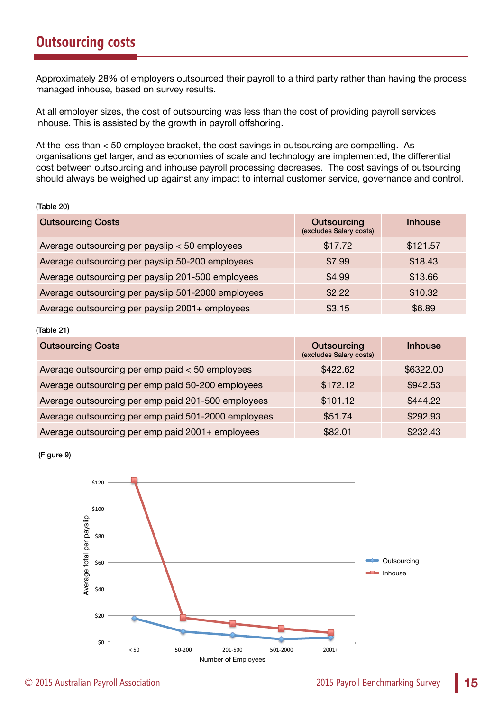Approximately 28% of employers outsourced their payroll to a third party rather than having the process managed inhouse, based on survey results.

At all employer sizes, the cost of outsourcing was less than the cost of providing payroll services inhouse. This is assisted by the growth in payroll offshoring.

At the less than < 50 employee bracket, the cost savings in outsourcing are compelling. As organisations get larger, and as economies of scale and technology are implemented, the differential cost between outsourcing and inhouse payroll processing decreases. The cost savings of outsourcing should always be weighed up against any impact to internal customer service, governance and control.

#### (Table 20)

| <b>Outsourcing Costs</b>                           | Outsourcing<br>(excludes Salary costs) | <b>Inhouse</b> |
|----------------------------------------------------|----------------------------------------|----------------|
| Average outsourcing per payslip < 50 employees     | \$17.72                                | \$121.57       |
| Average outsourcing per payslip 50-200 employees   | \$7.99                                 | \$18.43        |
| Average outsourcing per payslip 201-500 employees  | \$4.99                                 | \$13.66        |
| Average outsourcing per payslip 501-2000 employees | \$2.22                                 | \$10.32        |
| Average outsourcing per payslip 2001+ employees    | \$3.15                                 | \$6.89         |

#### (Table 21)

| <b>Outsourcing Costs</b>                            | Outsourcing<br>(excludes Salary costs) | <b>Inhouse</b> |
|-----------------------------------------------------|----------------------------------------|----------------|
| Average outsourcing per emp paid < 50 employees     | \$422.62                               | \$6322.00      |
| Average outsourcing per emp paid 50-200 employees   | \$172.12                               | \$942.53       |
| Average outsourcing per emp paid 201-500 employees  | \$101.12                               | \$444.22       |
| Average outsourcing per emp paid 501-2000 employees | \$51.74                                | \$292.93       |
| Average outsourcing per emp paid 2001+ employees    | \$82.01                                | \$232.43       |

#### (Figure 9)

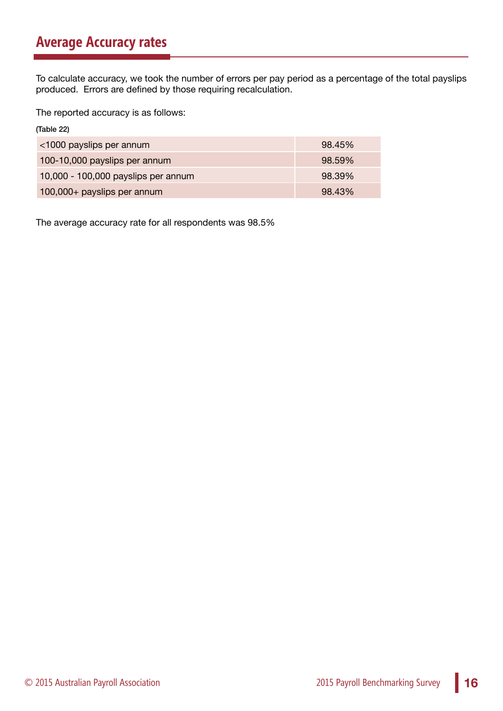### **Average Accuracy rates**

To calculate accuracy, we took the number of errors per pay period as a percentage of the total payslips produced. Errors are defined by those requiring recalculation.

The reported accuracy is as follows:

| (Table 22)                          |        |
|-------------------------------------|--------|
| <1000 payslips per annum            | 98.45% |
| 100-10,000 payslips per annum       | 98.59% |
| 10,000 - 100,000 payslips per annum | 98.39% |
| 100,000+ payslips per annum         | 98.43% |

The average accuracy rate for all respondents was 98.5%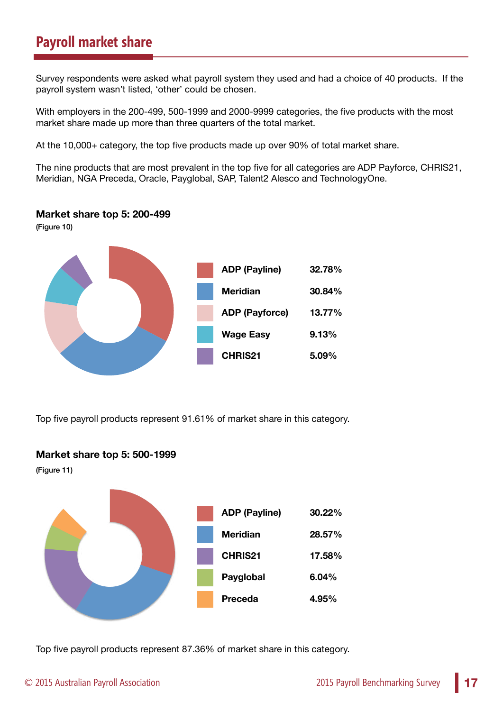### **Payroll market share**

Survey respondents were asked what payroll system they used and had a choice of 40 products. If the payroll system wasn't listed, 'other' could be chosen.

With employers in the 200-499, 500-1999 and 2000-9999 categories, the five products with the most market share made up more than three quarters of the total market.

At the 10,000+ category, the top five products made up over 90% of total market share.

The nine products that are most prevalent in the top five for all categories are ADP Payforce, CHRIS21, Meridian, NGA Preceda, Oracle, Payglobal, SAP, Talent2 Alesco and TechnologyOne.

#### **Market share top 5: 200-499**

(Figure 10)



Top five payroll products represent 91.61% of market share in this category.

#### **Market share top 5: 500-1999**

(Figure 11)



Top five payroll products represent 87.36% of market share in this category.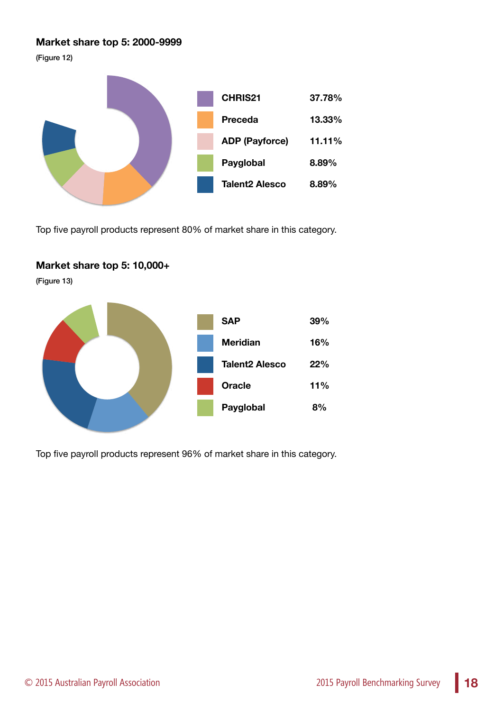### **Market share top 5: 2000-9999**

(Figure 12)



Top five payroll products represent 80% of market share in this category.

### **Market share top 5: 10,000+**

(Figure 13)



Top five payroll products represent 96% of market share in this category.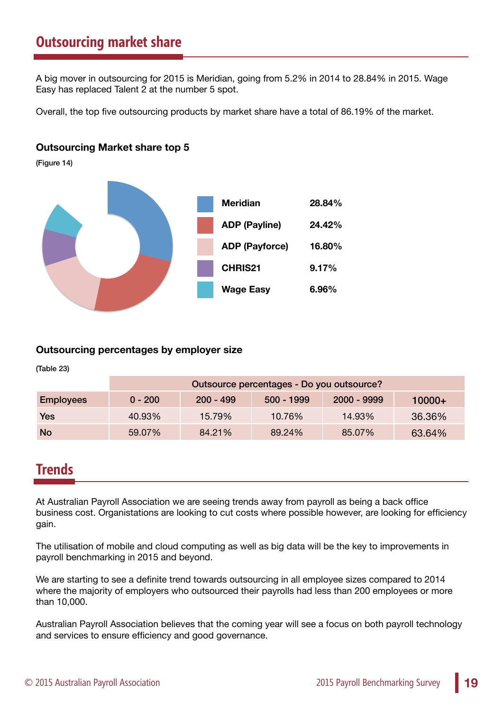### **Outsourcing market share**

A big mover in outsourcing for 2015 is Meridian, going from 5.2% in 2014 to 28.84% in 2015. Wage Easy has replaced Talent 2 at the number 5 spot.

Overall, the top five outsourcing products by market share have a total of 86.19% of the market.

### **Outsourcing Market share top 5**

(Figure 14)



### **Outsourcing percentages by employer size**

(Table 23)

|                  | Outsource percentages - Do you outsource? |             |            |             |          |
|------------------|-------------------------------------------|-------------|------------|-------------|----------|
| <b>Employees</b> | $0 - 200$                                 | $200 - 499$ | 500 - 1999 | 2000 - 9999 | $10000+$ |
| <b>Yes</b>       | 40.93%                                    | 15.79%      | 10.76%     | 14.93%      | 36.36%   |
| <b>No</b>        | 59.07%                                    | 84.21%      | 89.24%     | 85.07%      | 63.64%   |

### **Trends**

At Australian Payroll Association we are seeing trends away from payroll as being a back office business cost. Organistations are looking to cut costs where possible however, are looking for efficiency gain.

The utilisation of mobile and cloud computing as well as big data will be the key to improvements in payroll benchmarking in 2015 and beyond.

We are starting to see a definite trend towards outsourcing in all employee sizes compared to 2014 where the majority of employers who outsourced their payrolls had less than 200 employees or more than 10,000.

Australian Payroll Association believes that the coming year will see a focus on both payroll technology and services to ensure efficiency and good governance.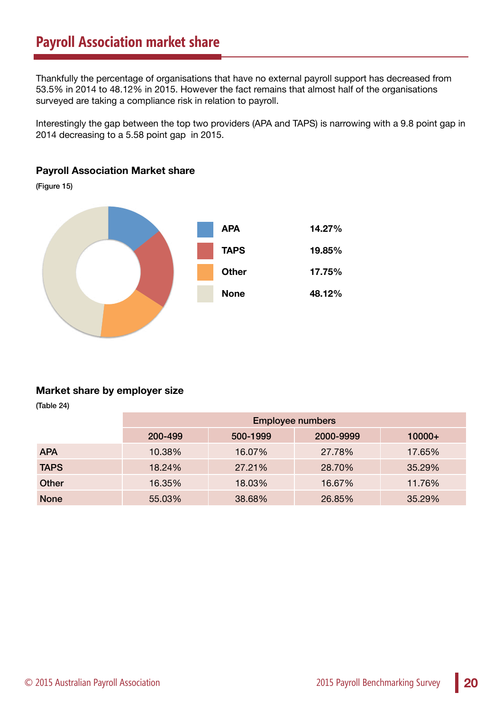**Payroll Association Market share**

Thankfully the percentage of organisations that have no external payroll support has decreased from 53.5% in 2014 to 48.12% in 2015. However the fact remains that almost half of the organisations surveyed are taking a compliance risk in relation to payroll.

Interestingly the gap between the top two providers (APA and TAPS) is narrowing with a 9.8 point gap in 2014 decreasing to a 5.58 point gap in 2015.

## (Figure 15) **APA 14.27% TAPS 19.85% Other 17.75% None 48.12%**

### **Market share by employer size**

(Table 24)

|              | <b>Employee numbers</b> |          |           |          |
|--------------|-------------------------|----------|-----------|----------|
|              | 200-499                 | 500-1999 | 2000-9999 | $10000+$ |
| <b>APA</b>   | 10.38%                  | 16.07%   | 27.78%    | 17.65%   |
| <b>TAPS</b>  | 18.24%                  | 27.21%   | 28.70%    | 35.29%   |
| <b>Other</b> | 16.35%                  | 18.03%   | 16.67%    | 11.76%   |
| <b>None</b>  | 55.03%                  | 38.68%   | 26.85%    | 35.29%   |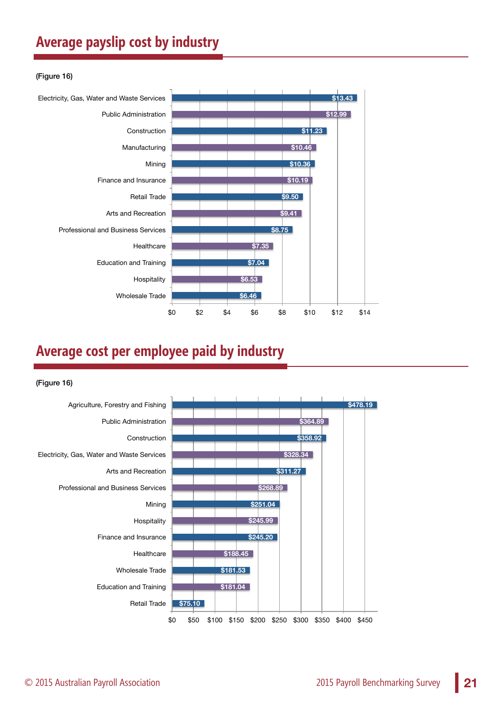### **Average payslip cost by industry**

#### (Figure 16)



### **Average cost per employee paid by industry**

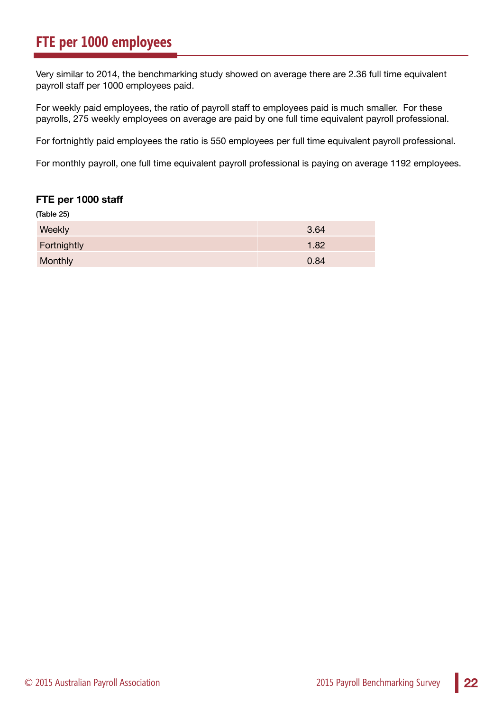### **FTE per 1000 employees**

Very similar to 2014, the benchmarking study showed on average there are 2.36 full time equivalent payroll staff per 1000 employees paid.

For weekly paid employees, the ratio of payroll staff to employees paid is much smaller. For these payrolls, 275 weekly employees on average are paid by one full time equivalent payroll professional.

For fortnightly paid employees the ratio is 550 employees per full time equivalent payroll professional.

For monthly payroll, one full time equivalent payroll professional is paying on average 1192 employees.

#### **FTE per 1000 staff**

| (Table 25)  |      |
|-------------|------|
| Weekly      | 3.64 |
| Fortnightly | 1.82 |
| Monthly     | 0.84 |